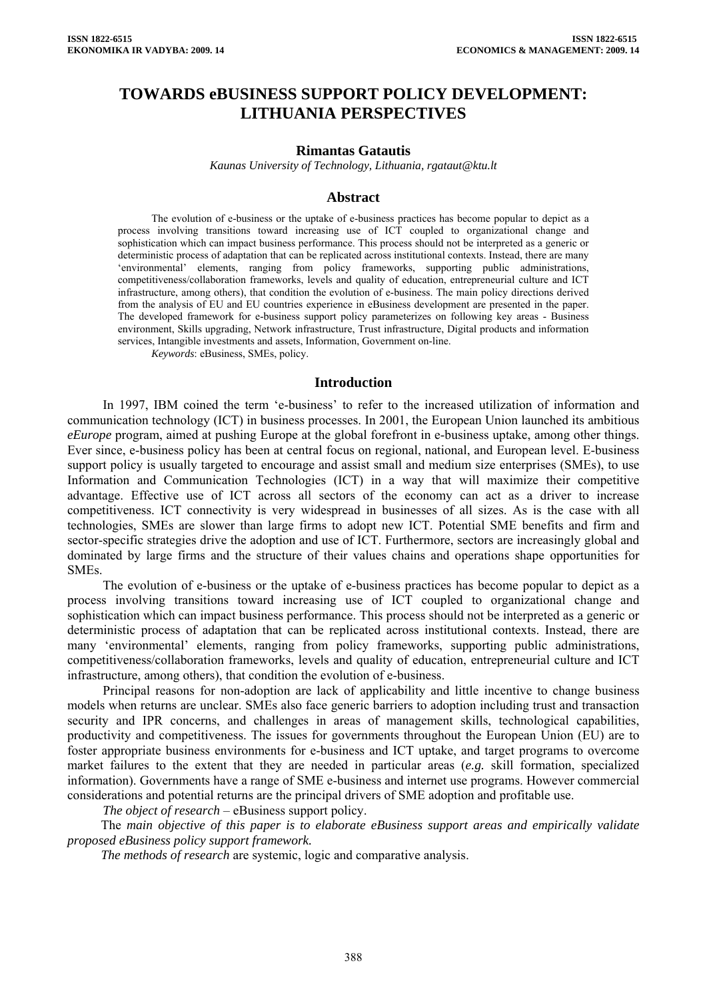# **TOWARDS eBUSINESS SUPPORT POLICY DEVELOPMENT: LITHUANIA PERSPECTIVES**

### **Rimantas Gatautis**

*Kaunas University of Technology, Lithuania, [rgataut@ktu.lt](mailto:rgataut@ktu.lt)*

#### **Abstract**

The evolution of e-business or the uptake of e-business practices has become popular to depict as a process involving transitions toward increasing use of ICT coupled to organizational change and sophistication which can impact business performance. This process should not be interpreted as a generic or deterministic process of adaptation that can be replicated across institutional contexts. Instead, there are many 'environmental' elements, ranging from policy frameworks, supporting public administrations, competitiveness/collaboration frameworks, levels and quality of education, entrepreneurial culture and ICT infrastructure, among others), that condition the evolution of e-business. The main policy directions derived from the analysis of EU and EU countries experience in eBusiness development are presented in the paper. The developed framework for e-business support policy parameterizes on following key areas - Business environment, Skills upgrading, Network infrastructure, Trust infrastructure, Digital products and information services, Intangible investments and assets, Information, Government on-line.

*Keywords*: eBusiness, SMEs, policy.

### **Introduction**

In 1997, IBM coined the term 'e-business' to refer to the increased utilization of information and communication technology (ICT) in business processes. In 2001, the European Union launched its ambitious *eEurope* program, aimed at pushing Europe at the global forefront in e-business uptake, among other things. Ever since, e-business policy has been at central focus on regional, national, and European level. E-business support policy is usually targeted to encourage and assist small and medium size enterprises (SMEs), to use Information and Communication Technologies (ICT) in a way that will maximize their competitive advantage. Effective use of ICT across all sectors of the economy can act as a driver to increase competitiveness. ICT connectivity is very widespread in businesses of all sizes. As is the case with all technologies, SMEs are slower than large firms to adopt new ICT. Potential SME benefits and firm and sector-specific strategies drive the adoption and use of ICT. Furthermore, sectors are increasingly global and dominated by large firms and the structure of their values chains and operations shape opportunities for **SMEs**.

The evolution of e-business or the uptake of e-business practices has become popular to depict as a process involving transitions toward increasing use of ICT coupled to organizational change and sophistication which can impact business performance. This process should not be interpreted as a generic or deterministic process of adaptation that can be replicated across institutional contexts. Instead, there are many 'environmental' elements, ranging from policy frameworks, supporting public administrations, competitiveness/collaboration frameworks, levels and quality of education, entrepreneurial culture and ICT infrastructure, among others), that condition the evolution of e-business.

Principal reasons for non-adoption are lack of applicability and little incentive to change business models when returns are unclear. SMEs also face generic barriers to adoption including trust and transaction security and IPR concerns, and challenges in areas of management skills, technological capabilities, productivity and competitiveness. The issues for governments throughout the European Union (EU) are to foster appropriate business environments for e-business and ICT uptake, and target programs to overcome market failures to the extent that they are needed in particular areas (*e.g.* skill formation, specialized information). Governments have a range of SME e-business and internet use programs. However commercial considerations and potential returns are the principal drivers of SME adoption and profitable use.

*The object of research* – eBusiness support policy.

The *main objective of this paper is to elaborate eBusiness support areas and empirically validate proposed eBusiness policy support framework.* 

*The methods of research* are systemic, logic and comparative analysis.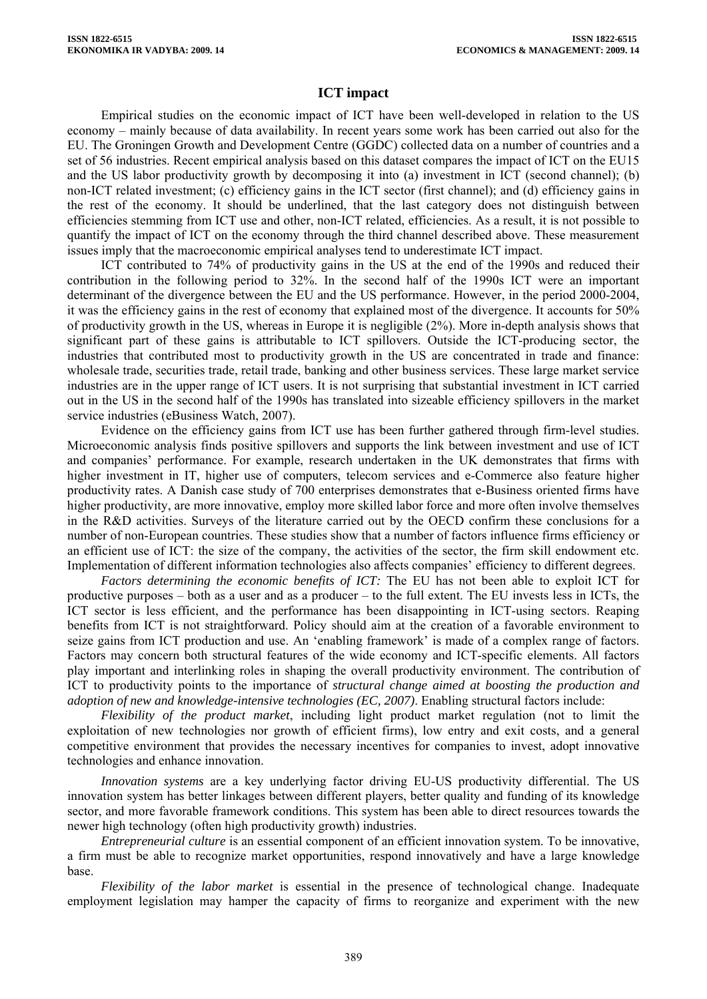## **ICT impact**

Empirical studies on the economic impact of ICT have been well-developed in relation to the US economy – mainly because of data availability. In recent years some work has been carried out also for the EU. The Groningen Growth and Development Centre (GGDC) collected data on a number of countries and a set of 56 industries. Recent empirical analysis based on this dataset compares the impact of ICT on the EU15 and the US labor productivity growth by decomposing it into (a) investment in ICT (second channel); (b) non-ICT related investment; (c) efficiency gains in the ICT sector (first channel); and (d) efficiency gains in the rest of the economy. It should be underlined, that the last category does not distinguish between efficiencies stemming from ICT use and other, non-ICT related, efficiencies. As a result, it is not possible to quantify the impact of ICT on the economy through the third channel described above. These measurement issues imply that the macroeconomic empirical analyses tend to underestimate ICT impact.

ICT contributed to 74% of productivity gains in the US at the end of the 1990s and reduced their contribution in the following period to 32%. In the second half of the 1990s ICT were an important determinant of the divergence between the EU and the US performance. However, in the period 2000-2004, it was the efficiency gains in the rest of economy that explained most of the divergence. It accounts for 50% of productivity growth in the US, whereas in Europe it is negligible (2%). More in-depth analysis shows that significant part of these gains is attributable to ICT spillovers. Outside the ICT-producing sector, the industries that contributed most to productivity growth in the US are concentrated in trade and finance: wholesale trade, securities trade, retail trade, banking and other business services. These large market service industries are in the upper range of ICT users. It is not surprising that substantial investment in ICT carried out in the US in the second half of the 1990s has translated into sizeable efficiency spillovers in the market service industries (eBusiness Watch, 2007).

Evidence on the efficiency gains from ICT use has been further gathered through firm-level studies. Microeconomic analysis finds positive spillovers and supports the link between investment and use of ICT and companies' performance. For example, research undertaken in the UK demonstrates that firms with higher investment in IT, higher use of computers, telecom services and e-Commerce also feature higher productivity rates. A Danish case study of 700 enterprises demonstrates that e-Business oriented firms have higher productivity, are more innovative, employ more skilled labor force and more often involve themselves in the R&D activities. Surveys of the literature carried out by the OECD confirm these conclusions for a number of non-European countries. These studies show that a number of factors influence firms efficiency or an efficient use of ICT: the size of the company, the activities of the sector, the firm skill endowment etc. Implementation of different information technologies also affects companies' efficiency to different degrees.

*Factors determining the economic benefits of ICT:* The EU has not been able to exploit ICT for productive purposes – both as a user and as a producer – to the full extent. The EU invests less in ICTs, the ICT sector is less efficient, and the performance has been disappointing in ICT-using sectors. Reaping benefits from ICT is not straightforward. Policy should aim at the creation of a favorable environment to seize gains from ICT production and use. An 'enabling framework' is made of a complex range of factors. Factors may concern both structural features of the wide economy and ICT-specific elements. All factors play important and interlinking roles in shaping the overall productivity environment. The contribution of ICT to productivity points to the importance of *structural change aimed at boosting the production and adoption of new and knowledge-intensive technologies (EC, 2007)*. Enabling structural factors include:

*Flexibility of the product market*, including light product market regulation (not to limit the exploitation of new technologies nor growth of efficient firms), low entry and exit costs, and a general competitive environment that provides the necessary incentives for companies to invest, adopt innovative technologies and enhance innovation.

*Innovation systems* are a key underlying factor driving EU-US productivity differential. The US innovation system has better linkages between different players, better quality and funding of its knowledge sector, and more favorable framework conditions. This system has been able to direct resources towards the newer high technology (often high productivity growth) industries.

*Entrepreneurial culture* is an essential component of an efficient innovation system. To be innovative, a firm must be able to recognize market opportunities, respond innovatively and have a large knowledge base.

*Flexibility of the labor market* is essential in the presence of technological change. Inadequate employment legislation may hamper the capacity of firms to reorganize and experiment with the new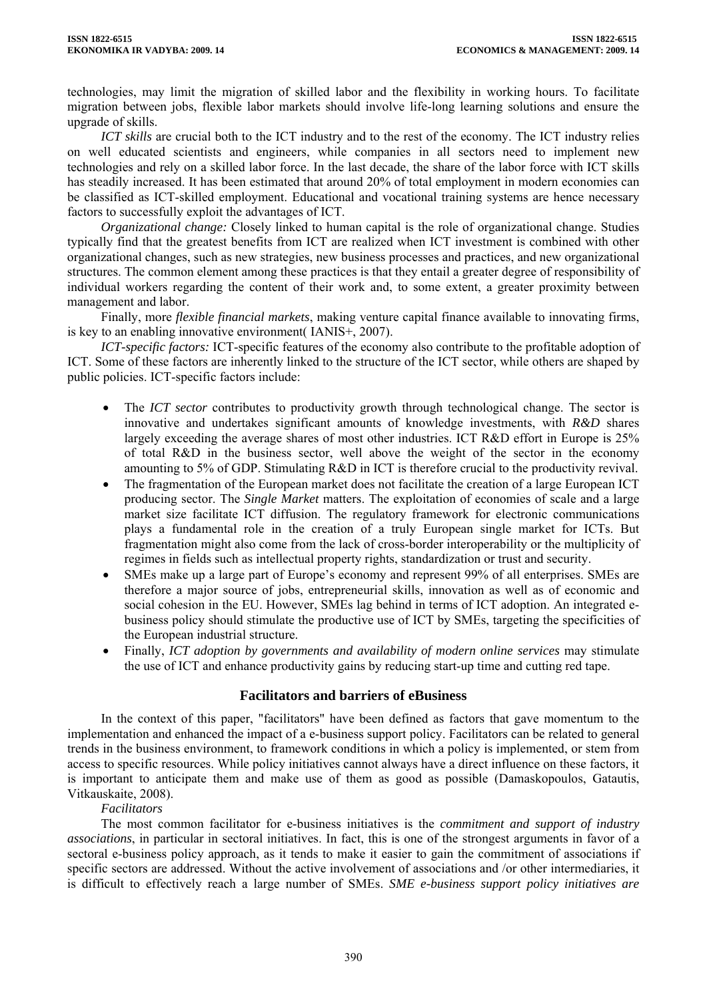technologies, may limit the migration of skilled labor and the flexibility in working hours. To facilitate migration between jobs, flexible labor markets should involve life-long learning solutions and ensure the upgrade of skills.

*ICT skills* are crucial both to the ICT industry and to the rest of the economy. The ICT industry relies on well educated scientists and engineers, while companies in all sectors need to implement new technologies and rely on a skilled labor force. In the last decade, the share of the labor force with ICT skills has steadily increased. It has been estimated that around 20% of total employment in modern economies can be classified as ICT-skilled employment. Educational and vocational training systems are hence necessary factors to successfully exploit the advantages of ICT.

*Organizational change:* Closely linked to human capital is the role of organizational change. Studies typically find that the greatest benefits from ICT are realized when ICT investment is combined with other organizational changes, such as new strategies, new business processes and practices, and new organizational structures. The common element among these practices is that they entail a greater degree of responsibility of individual workers regarding the content of their work and, to some extent, a greater proximity between management and labor.

Finally, more *flexible financial markets*, making venture capital finance available to innovating firms, is key to an enabling innovative environment( IANIS+, 2007).

*ICT-specific factors:* ICT-specific features of the economy also contribute to the profitable adoption of ICT. Some of these factors are inherently linked to the structure of the ICT sector, while others are shaped by public policies. ICT-specific factors include:

- The *ICT sector* contributes to productivity growth through technological change. The sector is innovative and undertakes significant amounts of knowledge investments, with *R&D* shares largely exceeding the average shares of most other industries. ICT R&D effort in Europe is 25% of total R&D in the business sector, well above the weight of the sector in the economy amounting to 5% of GDP. Stimulating R&D in ICT is therefore crucial to the productivity revival.
- The fragmentation of the European market does not facilitate the creation of a large European ICT producing sector. The *Single Market* matters. The exploitation of economies of scale and a large market size facilitate ICT diffusion. The regulatory framework for electronic communications plays a fundamental role in the creation of a truly European single market for ICTs. But fragmentation might also come from the lack of cross-border interoperability or the multiplicity of regimes in fields such as intellectual property rights, standardization or trust and security.
- SMEs make up a large part of Europe's economy and represent 99% of all enterprises. SMEs are therefore a major source of jobs, entrepreneurial skills, innovation as well as of economic and social cohesion in the EU. However, SMEs lag behind in terms of ICT adoption. An integrated ebusiness policy should stimulate the productive use of ICT by SMEs, targeting the specificities of the European industrial structure.
- Finally, *ICT adoption by governments and availability of modern online services* may stimulate the use of ICT and enhance productivity gains by reducing start-up time and cutting red tape.

## **Facilitators and barriers of eBusiness**

In the context of this paper, "facilitators" have been defined as factors that gave momentum to the implementation and enhanced the impact of a e-business support policy. Facilitators can be related to general trends in the business environment, to framework conditions in which a policy is implemented, or stem from access to specific resources. While policy initiatives cannot always have a direct influence on these factors, it is important to anticipate them and make use of them as good as possible (Damaskopoulos, Gatautis, Vitkauskaite, 2008).

## *Facilitators*

The most common facilitator for e-business initiatives is the *commitment and support of industry associations*, in particular in sectoral initiatives. In fact, this is one of the strongest arguments in favor of a sectoral e-business policy approach, as it tends to make it easier to gain the commitment of associations if specific sectors are addressed. Without the active involvement of associations and /or other intermediaries, it is difficult to effectively reach a large number of SMEs. *SME e-business support policy initiatives are*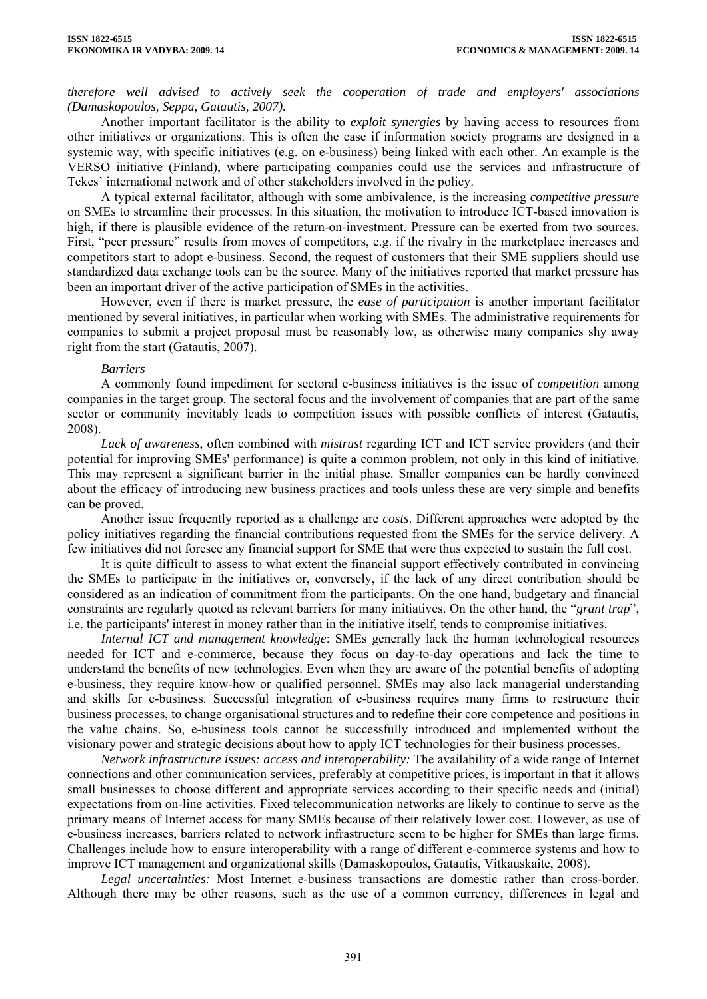*therefore well advised to actively seek the cooperation of trade and employers' associations (Damaskopoulos, Seppa, Gatautis, 2007).* 

Another important facilitator is the ability to *exploit synergies* by having access to resources from other initiatives or organizations. This is often the case if information society programs are designed in a systemic way, with specific initiatives (e.g. on e-business) being linked with each other. An example is the VERSO initiative (Finland), where participating companies could use the services and infrastructure of Tekes' international network and of other stakeholders involved in the policy.

A typical external facilitator, although with some ambivalence, is the increasing *competitive pressure* on SMEs to streamline their processes. In this situation, the motivation to introduce ICT-based innovation is high, if there is plausible evidence of the return-on-investment. Pressure can be exerted from two sources. First, "peer pressure" results from moves of competitors, e.g. if the rivalry in the marketplace increases and competitors start to adopt e-business. Second, the request of customers that their SME suppliers should use standardized data exchange tools can be the source. Many of the initiatives reported that market pressure has been an important driver of the active participation of SMEs in the activities.

However, even if there is market pressure, the *ease of participation* is another important facilitator mentioned by several initiatives, in particular when working with SMEs. The administrative requirements for companies to submit a project proposal must be reasonably low, as otherwise many companies shy away right from the start (Gatautis, 2007).

### *Barriers*

A commonly found impediment for sectoral e-business initiatives is the issue of *competition* among companies in the target group. The sectoral focus and the involvement of companies that are part of the same sector or community inevitably leads to competition issues with possible conflicts of interest (Gatautis, 2008).

*Lack of awareness*, often combined with *mistrust* regarding ICT and ICT service providers (and their potential for improving SMEs' performance) is quite a common problem, not only in this kind of initiative. This may represent a significant barrier in the initial phase. Smaller companies can be hardly convinced about the efficacy of introducing new business practices and tools unless these are very simple and benefits can be proved.

Another issue frequently reported as a challenge are *costs*. Different approaches were adopted by the policy initiatives regarding the financial contributions requested from the SMEs for the service delivery. A few initiatives did not foresee any financial support for SME that were thus expected to sustain the full cost.

It is quite difficult to assess to what extent the financial support effectively contributed in convincing the SMEs to participate in the initiatives or, conversely, if the lack of any direct contribution should be considered as an indication of commitment from the participants. On the one hand, budgetary and financial constraints are regularly quoted as relevant barriers for many initiatives. On the other hand, the "*grant trap*", i.e. the participants' interest in money rather than in the initiative itself, tends to compromise initiatives.

*Internal ICT and management knowledge*: SMEs generally lack the human technological resources needed for ICT and e-commerce, because they focus on day-to-day operations and lack the time to understand the benefits of new technologies. Even when they are aware of the potential benefits of adopting e-business, they require know-how or qualified personnel. SMEs may also lack managerial understanding and skills for e-business. Successful integration of e-business requires many firms to restructure their business processes, to change organisational structures and to redefine their core competence and positions in the value chains. So, e-business tools cannot be successfully introduced and implemented without the visionary power and strategic decisions about how to apply ICT technologies for their business processes.

*Network infrastructure issues: access and interoperability:* The availability of a wide range of Internet connections and other communication services, preferably at competitive prices, is important in that it allows small businesses to choose different and appropriate services according to their specific needs and (initial) expectations from on-line activities. Fixed telecommunication networks are likely to continue to serve as the primary means of Internet access for many SMEs because of their relatively lower cost. However, as use of e-business increases, barriers related to network infrastructure seem to be higher for SMEs than large firms. Challenges include how to ensure interoperability with a range of different e-commerce systems and how to improve ICT management and organizational skills (Damaskopoulos, Gatautis, Vitkauskaite, 2008).

*Legal uncertainties:* Most Internet e-business transactions are domestic rather than cross-border. Although there may be other reasons, such as the use of a common currency, differences in legal and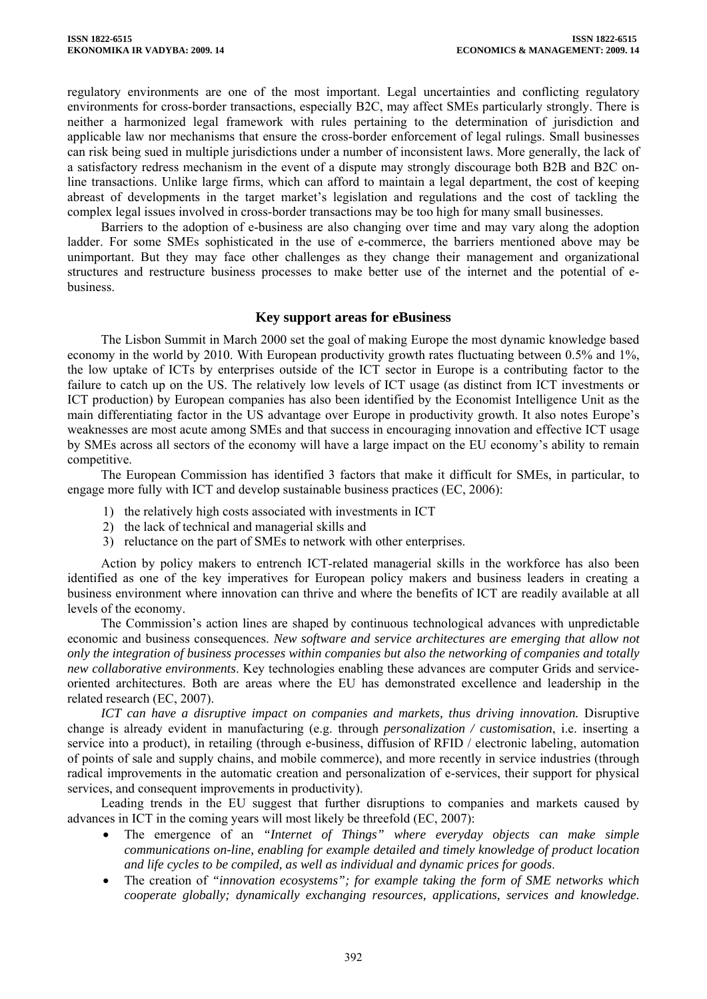regulatory environments are one of the most important. Legal uncertainties and conflicting regulatory environments for cross-border transactions, especially B2C, may affect SMEs particularly strongly. There is neither a harmonized legal framework with rules pertaining to the determination of jurisdiction and applicable law nor mechanisms that ensure the cross-border enforcement of legal rulings. Small businesses can risk being sued in multiple jurisdictions under a number of inconsistent laws. More generally, the lack of a satisfactory redress mechanism in the event of a dispute may strongly discourage both B2B and B2C online transactions. Unlike large firms, which can afford to maintain a legal department, the cost of keeping abreast of developments in the target market's legislation and regulations and the cost of tackling the complex legal issues involved in cross-border transactions may be too high for many small businesses.

Barriers to the adoption of e-business are also changing over time and may vary along the adoption ladder. For some SMEs sophisticated in the use of e-commerce, the barriers mentioned above may be unimportant. But they may face other challenges as they change their management and organizational structures and restructure business processes to make better use of the internet and the potential of ebusiness.

## **Key support areas for eBusiness**

The Lisbon Summit in March 2000 set the goal of making Europe the most dynamic knowledge based economy in the world by 2010. With European productivity growth rates fluctuating between 0.5% and 1%, the low uptake of ICTs by enterprises outside of the ICT sector in Europe is a contributing factor to the failure to catch up on the US. The relatively low levels of ICT usage (as distinct from ICT investments or ICT production) by European companies has also been identified by the Economist Intelligence Unit as the main differentiating factor in the US advantage over Europe in productivity growth. It also notes Europe's weaknesses are most acute among SMEs and that success in encouraging innovation and effective ICT usage by SMEs across all sectors of the economy will have a large impact on the EU economy's ability to remain competitive.

The European Commission has identified 3 factors that make it difficult for SMEs, in particular, to engage more fully with ICT and develop sustainable business practices (EC, 2006):

- 1) the relatively high costs associated with investments in ICT
- 2) the lack of technical and managerial skills and
- 3) reluctance on the part of SMEs to network with other enterprises.

Action by policy makers to entrench ICT-related managerial skills in the workforce has also been identified as one of the key imperatives for European policy makers and business leaders in creating a business environment where innovation can thrive and where the benefits of ICT are readily available at all levels of the economy.

The Commission's action lines are shaped by continuous technological advances with unpredictable economic and business consequences. *New software and service architectures are emerging that allow not only the integration of business processes within companies but also the networking of companies and totally new collaborative environments*. Key technologies enabling these advances are computer Grids and serviceoriented architectures. Both are areas where the EU has demonstrated excellence and leadership in the related research (EC, 2007).

*ICT can have a disruptive impact on companies and markets, thus driving innovation.* Disruptive change is already evident in manufacturing (e.g. through *personalization / customisation*, i.e. inserting a service into a product), in retailing (through e-business, diffusion of RFID / electronic labeling, automation of points of sale and supply chains, and mobile commerce), and more recently in service industries (through radical improvements in the automatic creation and personalization of e-services, their support for physical services, and consequent improvements in productivity).

Leading trends in the EU suggest that further disruptions to companies and markets caused by advances in ICT in the coming years will most likely be threefold (EC, 2007):

- The emergence of an *"Internet of Things" where everyday objects can make simple communications on-line, enabling for example detailed and timely knowledge of product location and life cycles to be compiled, as well as individual and dynamic prices for goods*.
- The creation of *"innovation ecosystems"; for example taking the form of SME networks which cooperate globally; dynamically exchanging resources, applications, services and knowledge*.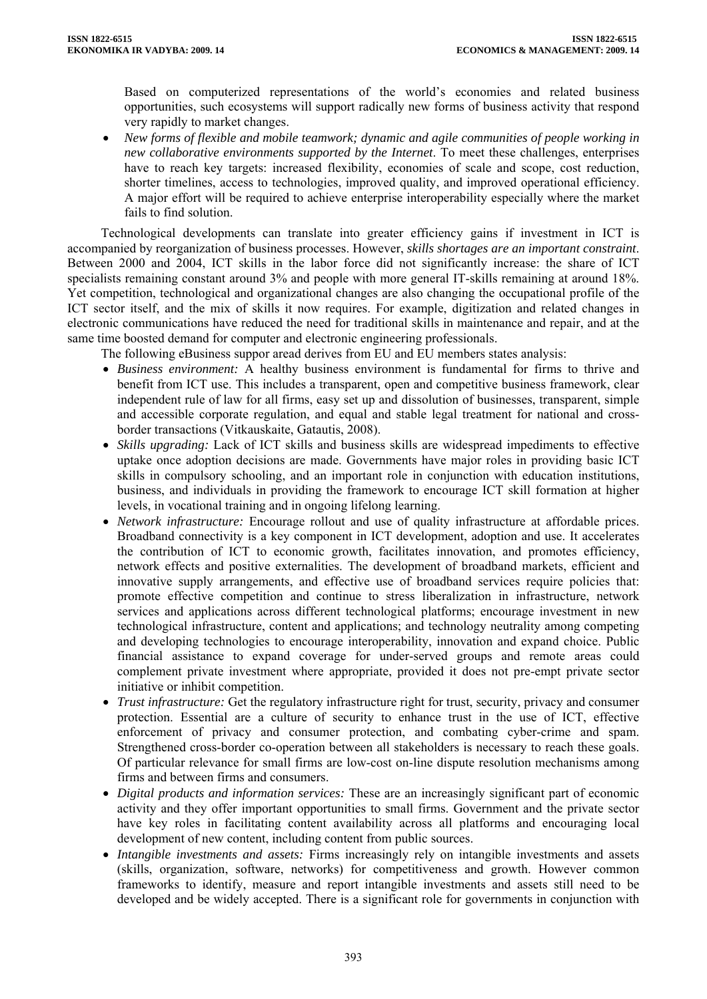Based on computerized representations of the world's economies and related business opportunities, such ecosystems will support radically new forms of business activity that respond very rapidly to market changes.

• *New forms of flexible and mobile teamwork; dynamic and agile communities of people working in new collaborative environments supported by the Internet*. To meet these challenges, enterprises have to reach key targets: increased flexibility, economies of scale and scope, cost reduction, shorter timelines, access to technologies, improved quality, and improved operational efficiency. A major effort will be required to achieve enterprise interoperability especially where the market fails to find solution.

Technological developments can translate into greater efficiency gains if investment in ICT is accompanied by reorganization of business processes. However, *skills shortages are an important constraint*. Between 2000 and 2004, ICT skills in the labor force did not significantly increase: the share of ICT specialists remaining constant around 3% and people with more general IT-skills remaining at around 18%. Yet competition, technological and organizational changes are also changing the occupational profile of the ICT sector itself, and the mix of skills it now requires. For example, digitization and related changes in electronic communications have reduced the need for traditional skills in maintenance and repair, and at the same time boosted demand for computer and electronic engineering professionals.

The following eBusiness suppor aread derives from EU and EU members states analysis:

- *Business environment:* A healthy business environment is fundamental for firms to thrive and benefit from ICT use. This includes a transparent, open and competitive business framework, clear independent rule of law for all firms, easy set up and dissolution of businesses, transparent, simple and accessible corporate regulation, and equal and stable legal treatment for national and crossborder transactions (Vitkauskaite, Gatautis, 2008).
- *Skills upgrading:* Lack of ICT skills and business skills are widespread impediments to effective uptake once adoption decisions are made. Governments have major roles in providing basic ICT skills in compulsory schooling, and an important role in conjunction with education institutions, business, and individuals in providing the framework to encourage ICT skill formation at higher levels, in vocational training and in ongoing lifelong learning.
- *Network infrastructure:* Encourage rollout and use of quality infrastructure at affordable prices. Broadband connectivity is a key component in ICT development, adoption and use. It accelerates the contribution of ICT to economic growth, facilitates innovation, and promotes efficiency, network effects and positive externalities. The development of broadband markets, efficient and innovative supply arrangements, and effective use of broadband services require policies that: promote effective competition and continue to stress liberalization in infrastructure, network services and applications across different technological platforms; encourage investment in new technological infrastructure, content and applications; and technology neutrality among competing and developing technologies to encourage interoperability, innovation and expand choice. Public financial assistance to expand coverage for under-served groups and remote areas could complement private investment where appropriate, provided it does not pre-empt private sector initiative or inhibit competition.
- *Trust infrastructure:* Get the regulatory infrastructure right for trust, security, privacy and consumer protection. Essential are a culture of security to enhance trust in the use of ICT, effective enforcement of privacy and consumer protection, and combating cyber-crime and spam. Strengthened cross-border co-operation between all stakeholders is necessary to reach these goals. Of particular relevance for small firms are low-cost on-line dispute resolution mechanisms among firms and between firms and consumers.
- *Digital products and information services:* These are an increasingly significant part of economic activity and they offer important opportunities to small firms. Government and the private sector have key roles in facilitating content availability across all platforms and encouraging local development of new content, including content from public sources.
- *Intangible investments and assets:* Firms increasingly rely on intangible investments and assets (skills, organization, software, networks) for competitiveness and growth. However common frameworks to identify, measure and report intangible investments and assets still need to be developed and be widely accepted. There is a significant role for governments in conjunction with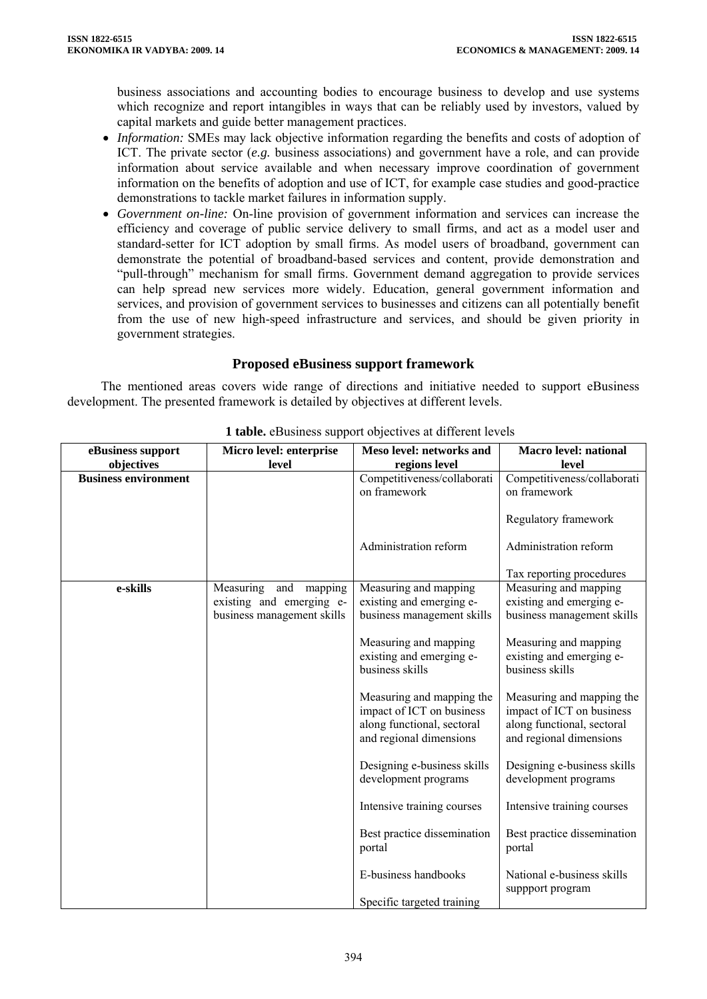business associations and accounting bodies to encourage business to develop and use systems which recognize and report intangibles in ways that can be reliably used by investors, valued by capital markets and guide better management practices.

- *Information:* SMEs may lack objective information regarding the benefits and costs of adoption of ICT. The private sector (*e.g.* business associations) and government have a role, and can provide information about service available and when necessary improve coordination of government information on the benefits of adoption and use of ICT, for example case studies and good-practice demonstrations to tackle market failures in information supply.
- *Government on-line:* On-line provision of government information and services can increase the efficiency and coverage of public service delivery to small firms, and act as a model user and standard-setter for ICT adoption by small firms. As model users of broadband, government can demonstrate the potential of broadband-based services and content, provide demonstration and "pull-through" mechanism for small firms. Government demand aggregation to provide services can help spread new services more widely. Education, general government information and services, and provision of government services to businesses and citizens can all potentially benefit from the use of new high-speed infrastructure and services, and should be given priority in government strategies.

## **Proposed eBusiness support framework**

The mentioned areas covers wide range of directions and initiative needed to support eBusiness development. The presented framework is detailed by objectives at different levels.

| eBusiness support           | Micro level: enterprise                                                         | Meso level: networks and                                                                                        | <b>Macro level: national</b>                                                                                    |
|-----------------------------|---------------------------------------------------------------------------------|-----------------------------------------------------------------------------------------------------------------|-----------------------------------------------------------------------------------------------------------------|
| objectives                  | level                                                                           | regions level                                                                                                   | level                                                                                                           |
| <b>Business environment</b> |                                                                                 | Competitiveness/collaborati                                                                                     | Competitiveness/collaborati                                                                                     |
|                             |                                                                                 | on framework                                                                                                    | on framework                                                                                                    |
|                             |                                                                                 |                                                                                                                 | Regulatory framework                                                                                            |
|                             |                                                                                 | Administration reform                                                                                           | Administration reform                                                                                           |
|                             |                                                                                 |                                                                                                                 | Tax reporting procedures                                                                                        |
| e-skills                    | Measuring and mapping<br>existing and emerging e-<br>business management skills | Measuring and mapping<br>existing and emerging e-<br>business management skills                                 | Measuring and mapping<br>existing and emerging e-<br>business management skills                                 |
|                             |                                                                                 | Measuring and mapping<br>existing and emerging e-<br>business skills                                            | Measuring and mapping<br>existing and emerging e-<br>business skills                                            |
|                             |                                                                                 | Measuring and mapping the<br>impact of ICT on business<br>along functional, sectoral<br>and regional dimensions | Measuring and mapping the<br>impact of ICT on business<br>along functional, sectoral<br>and regional dimensions |
|                             |                                                                                 | Designing e-business skills<br>development programs                                                             | Designing e-business skills<br>development programs                                                             |
|                             |                                                                                 | Intensive training courses                                                                                      | Intensive training courses                                                                                      |
|                             |                                                                                 | Best practice dissemination<br>portal                                                                           | Best practice dissemination<br>portal                                                                           |
|                             |                                                                                 | E-business handbooks<br>Specific targeted training                                                              | National e-business skills<br>suppport program                                                                  |

**1 table.** eBusiness support objectives at different levels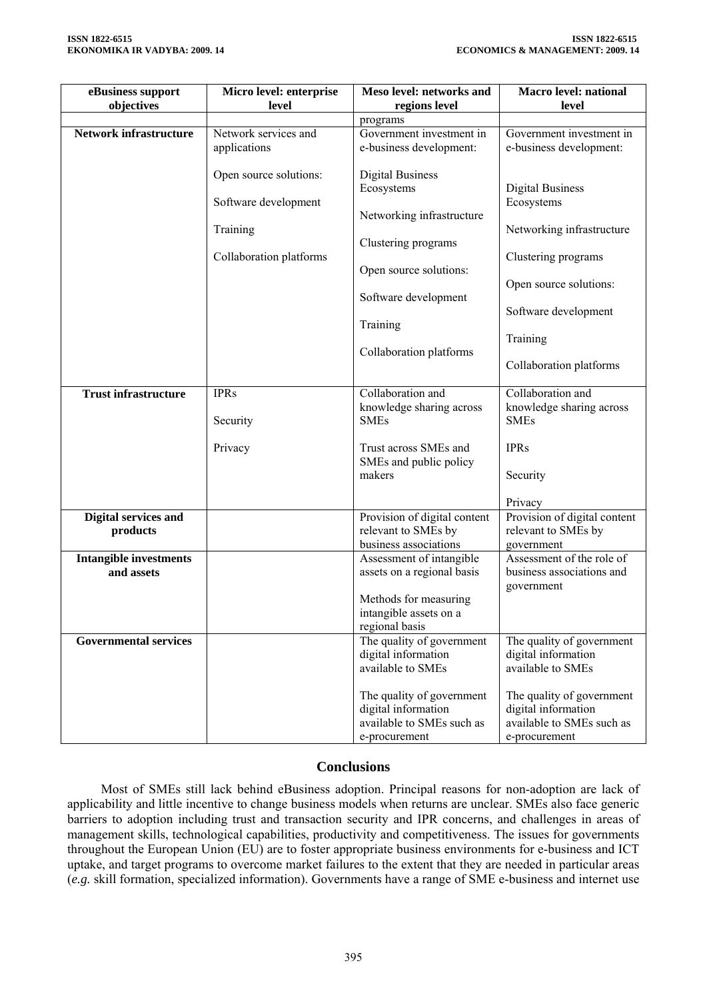| eBusiness support<br>objectives             | Micro level: enterprise<br>level     | Meso level: networks and<br>regions level                                                      | <b>Macro level: national</b><br>level                                                          |
|---------------------------------------------|--------------------------------------|------------------------------------------------------------------------------------------------|------------------------------------------------------------------------------------------------|
|                                             |                                      | programs                                                                                       |                                                                                                |
| <b>Network infrastructure</b>               | Network services and<br>applications | Government investment in<br>e-business development:                                            | Government investment in<br>e-business development:                                            |
|                                             | Open source solutions:               | <b>Digital Business</b><br>Ecosystems                                                          | <b>Digital Business</b>                                                                        |
|                                             | Software development                 | Networking infrastructure                                                                      | Ecosystems                                                                                     |
|                                             | Training                             | Clustering programs                                                                            | Networking infrastructure                                                                      |
|                                             | Collaboration platforms              | Open source solutions:                                                                         | Clustering programs                                                                            |
|                                             |                                      | Software development                                                                           | Open source solutions:                                                                         |
|                                             |                                      | Training                                                                                       | Software development                                                                           |
|                                             |                                      | Collaboration platforms                                                                        | Training                                                                                       |
|                                             |                                      |                                                                                                | Collaboration platforms                                                                        |
| <b>Trust infrastructure</b>                 | <b>IPRs</b>                          | Collaboration and<br>knowledge sharing across                                                  | Collaboration and<br>knowledge sharing across                                                  |
|                                             | Security                             | <b>SMEs</b>                                                                                    | <b>SMEs</b>                                                                                    |
|                                             | Privacy                              | Trust across SMEs and<br>SMEs and public policy                                                | <b>IPRs</b>                                                                                    |
|                                             |                                      | makers                                                                                         | Security                                                                                       |
|                                             |                                      |                                                                                                | Privacy                                                                                        |
| Digital services and<br>products            |                                      | Provision of digital content<br>relevant to SMEs by<br>business associations                   | Provision of digital content<br>relevant to SMEs by<br>government                              |
| <b>Intangible investments</b><br>and assets |                                      | Assessment of intangible<br>assets on a regional basis                                         | Assessment of the role of<br>business associations and<br>government                           |
|                                             |                                      | Methods for measuring<br>intangible assets on a<br>regional basis                              |                                                                                                |
| <b>Governmental services</b>                |                                      | The quality of government<br>digital information<br>available to SMEs                          | The quality of government<br>digital information<br>available to SMEs                          |
|                                             |                                      | The quality of government<br>digital information<br>available to SMEs such as<br>e-procurement | The quality of government<br>digital information<br>available to SMEs such as<br>e-procurement |

# **Conclusions**

Most of SMEs still lack behind eBusiness adoption. Principal reasons for non-adoption are lack of applicability and little incentive to change business models when returns are unclear. SMEs also face generic barriers to adoption including trust and transaction security and IPR concerns, and challenges in areas of management skills, technological capabilities, productivity and competitiveness. The issues for governments throughout the European Union (EU) are to foster appropriate business environments for e-business and ICT uptake, and target programs to overcome market failures to the extent that they are needed in particular areas (*e.g.* skill formation, specialized information). Governments have a range of SME e-business and internet use